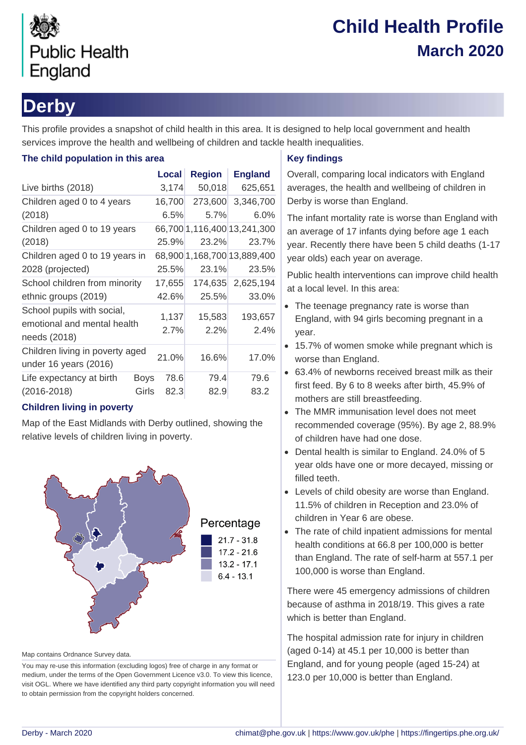

# **Child Health Profile March 2020**

## **Derby**

This profile provides a snapshot of child health in this area. It is designed to help local government and health services improve the health and wellbeing of children and tackle health inequalities.

### **The child population in this area**

|                                                           |             | Local  | <b>Region</b> | <b>England</b>              |  |
|-----------------------------------------------------------|-------------|--------|---------------|-----------------------------|--|
| Live births (2018)                                        |             | 3,174  | 50,018        | 625,651                     |  |
| Children aged 0 to 4 years                                |             | 16,700 | 273,600       | 3,346,700                   |  |
| (2018)                                                    |             | 6.5%   | 5.7%          | 6.0%                        |  |
| Children aged 0 to 19 years                               |             |        |               | 66,700 1,116,400 13,241,300 |  |
| (2018)                                                    |             | 25.9%  | 23.2%         | 23.7%                       |  |
| Children aged 0 to 19 years in                            |             |        |               | 68,900 1,168,700 13,889,400 |  |
| 2028 (projected)                                          |             | 25.5%  | 23.1%         | 23.5%                       |  |
| School children from minority                             |             | 17,655 | 174,635       | 2,625,194                   |  |
| ethnic groups (2019)                                      |             | 42.6%  | 25.5%         | 33.0%                       |  |
| School pupils with social,<br>emotional and mental health |             | 1,137  | 15,583        | 193,657                     |  |
| needs (2018)                                              |             | 2.7%   | 2.2%          | 2.4%                        |  |
| Children living in poverty aged<br>under 16 years (2016)  |             | 21.0%  | 16.6%         | 17.0%                       |  |
| Life expectancy at birth                                  | <b>Boys</b> | 78.6   | 79.4          | 79.6                        |  |
| $(2016 - 2018)$                                           | Girls       | 82.3   | 82.9          | 83.2                        |  |

### **Children living in poverty**

Map of the East Midlands with Derby outlined, showing the relative levels of children living in poverty.



Map contains Ordnance Survey data.

You may re-use this information (excluding logos) free of charge in any format or medium, under the terms of the Open Government Licence v3.0. To view this licence, visit OGL. Where we have identified any third party copyright information you will need to obtain permission from the copyright holders concerned.

### **Key findings**

Overall, comparing local indicators with England averages, the health and wellbeing of children in Derby is worse than England.

The infant mortality rate is worse than England with an average of 17 infants dying before age 1 each year. Recently there have been 5 child deaths (1-17 year olds) each year on average.

Public health interventions can improve child health at a local level. In this area:

- The teenage pregnancy rate is worse than England, with 94 girls becoming pregnant in a year.
- 15.7% of women smoke while pregnant which is worse than England.
- 63.4% of newborns received breast milk as their first feed. By 6 to 8 weeks after birth, 45.9% of mothers are still breastfeeding.
- The MMR immunisation level does not meet recommended coverage (95%). By age 2, 88.9% of children have had one dose.
- Dental health is similar to England. 24.0% of 5 year olds have one or more decayed, missing or filled teeth.
- Levels of child obesity are worse than England. 11.5% of children in Reception and 23.0% of children in Year 6 are obese.
- The rate of child inpatient admissions for mental health conditions at 66.8 per 100,000 is better than England. The rate of self-harm at 557.1 per 100,000 is worse than England.

There were 45 emergency admissions of children because of asthma in 2018/19. This gives a rate which is better than England.

The hospital admission rate for injury in children (aged 0-14) at 45.1 per 10,000 is better than England, and for young people (aged 15-24) at 123.0 per 10,000 is better than England.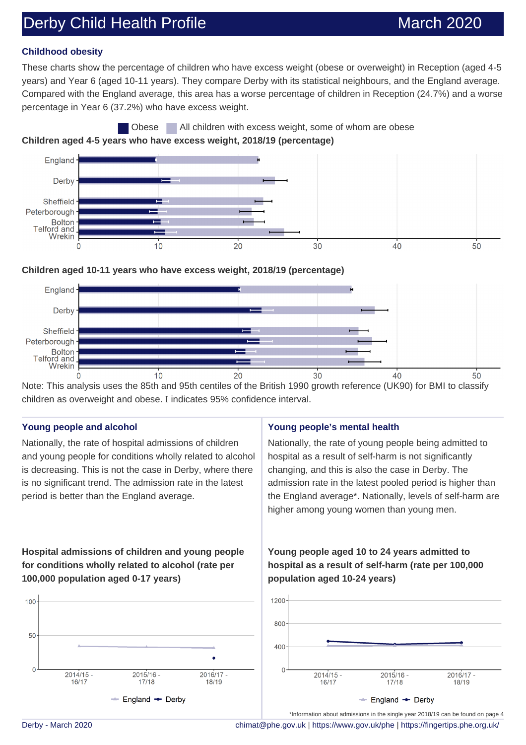## Derby Child Health Profile March 2020

### **Childhood obesity**

These charts show the percentage of children who have excess weight (obese or overweight) in Reception (aged 4-5 years) and Year 6 (aged 10-11 years). They compare Derby with its statistical neighbours, and the England average. Compared with the England average, this area has a worse percentage of children in Reception (24.7%) and a worse percentage in Year 6 (37.2%) who have excess weight.





### **Children aged 10-11 years who have excess weight, 2018/19 (percentage)**



Note: This analysis uses the 85th and 95th centiles of the British 1990 growth reference (UK90) for BMI to classify children as overweight and obese. I indicates 95% confidence interval.

#### **Young people and alcohol**

Nationally, the rate of hospital admissions of children and young people for conditions wholly related to alcohol is decreasing. This is not the case in Derby, where there is no significant trend. The admission rate in the latest period is better than the England average.

### **Young people's mental health**

Nationally, the rate of young people being admitted to hospital as a result of self-harm is not significantly changing, and this is also the case in Derby. The admission rate in the latest pooled period is higher than the England average\*. Nationally, levels of self-harm are higher among young women than young men.

### **Hospital admissions of children and young people for conditions wholly related to alcohol (rate per 100,000 population aged 0-17 years)**



**Young people aged 10 to 24 years admitted to hospital as a result of self-harm (rate per 100,000 population aged 10-24 years)**



Derby - March 2020 [chimat@phe.gov.uk](mailto:chimat@phe.gov.uk) |<https://www.gov.uk/phe>|<https://fingertips.phe.org.uk/>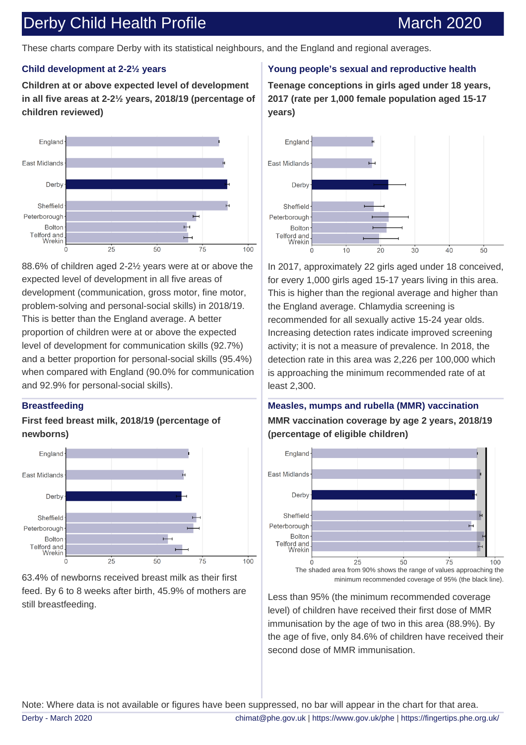### Derby Child Health Profile March 2020

These charts compare Derby with its statistical neighbours, and the England and regional averages.

### **Child development at 2-2½ years**

**Children at or above expected level of development in all five areas at 2-2½ years, 2018/19 (percentage of children reviewed)**



88.6% of children aged 2-2½ years were at or above the expected level of development in all five areas of development (communication, gross motor, fine motor, problem-solving and personal-social skills) in 2018/19. This is better than the England average. A better proportion of children were at or above the expected level of development for communication skills (92.7%) and a better proportion for personal-social skills (95.4%) when compared with England (90.0% for communication and 92.9% for personal-social skills).

### **Breastfeeding**

### **First feed breast milk, 2018/19 (percentage of newborns)**



63.4% of newborns received breast milk as their first feed. By 6 to 8 weeks after birth, 45.9% of mothers are still breastfeeding.

### **Young people's sexual and reproductive health**

**Teenage conceptions in girls aged under 18 years, 2017 (rate per 1,000 female population aged 15-17 years)**



In 2017, approximately 22 girls aged under 18 conceived, for every 1,000 girls aged 15-17 years living in this area. This is higher than the regional average and higher than the England average. Chlamydia screening is recommended for all sexually active 15-24 year olds. Increasing detection rates indicate improved screening activity; it is not a measure of prevalence. In 2018, the detection rate in this area was 2,226 per 100,000 which is approaching the minimum recommended rate of at least 2,300.

### **Measles, mumps and rubella (MMR) vaccination MMR vaccination coverage by age 2 years, 2018/19 (percentage of eligible children)**



Less than 95% (the minimum recommended coverage level) of children have received their first dose of MMR immunisation by the age of two in this area (88.9%). By the age of five, only 84.6% of children have received their second dose of MMR immunisation.

Note: Where data is not available or figures have been suppressed, no bar will appear in the chart for that area. Derby - March 2020 [chimat@phe.gov.uk](mailto:chimat@phe.gov.uk) |<https://www.gov.uk/phe>|<https://fingertips.phe.org.uk/>